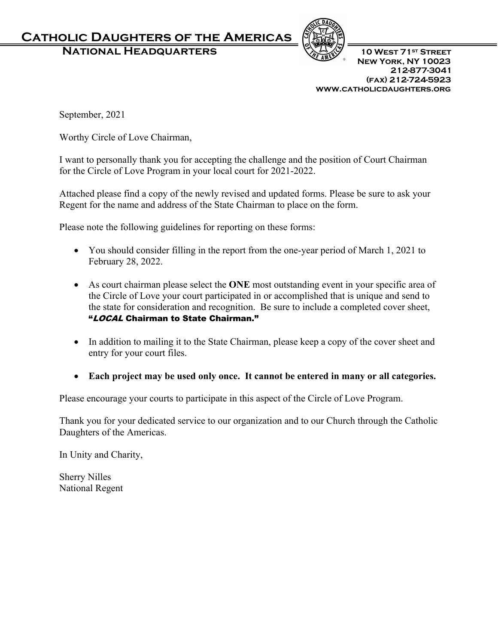## **Catholic Daughters of the Americas**

**NATIONAL HEADQUARTERS** 10 WEST 71st STREET



 **New York, NY 10023 212-877-3041 (fax) 212-724-5923 www.catholicdaughters.org**

September, 2021

Worthy Circle of Love Chairman,

I want to personally thank you for accepting the challenge and the position of Court Chairman for the Circle of Love Program in your local court for 2021-2022.

Attached please find a copy of the newly revised and updated forms. Please be sure to ask your Regent for the name and address of the State Chairman to place on the form.

Please note the following guidelines for reporting on these forms:

- You should consider filling in the report from the one-year period of March 1, 2021 to February 28, 2022.
- As court chairman please select the **ONE** most outstanding event in your specific area of the Circle of Love your court participated in or accomplished that is unique and send to the state for consideration and recognition. Be sure to include a completed cover sheet, "LOCAL Chairman to State Chairman."
- In addition to mailing it to the State Chairman, please keep a copy of the cover sheet and entry for your court files.
- **Each project may be used only once. It cannot be entered in many or all categories.**

Please encourage your courts to participate in this aspect of the Circle of Love Program.

Thank you for your dedicated service to our organization and to our Church through the Catholic Daughters of the Americas.

In Unity and Charity,

Sherry Nilles National Regent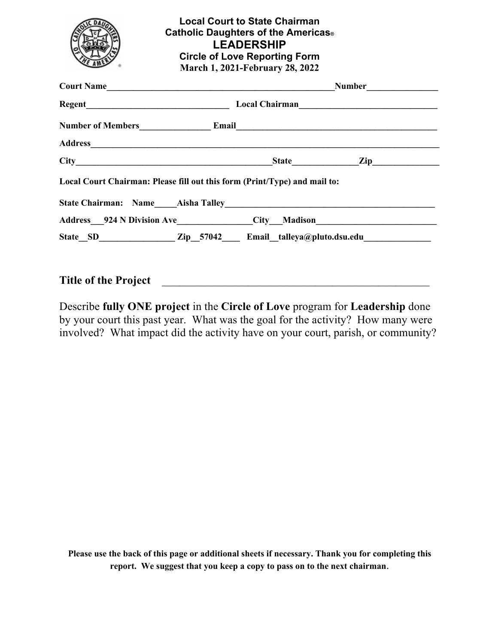|                                                                                  | <b>Local Court to State Chairman</b><br>Catholic Daughters of the Americas <sup>®</sup><br><b>Circle of Love Reporting Form</b><br>March 1, 2021-February 28, 2022 | <b>LEADERSHIP</b> |  |  |
|----------------------------------------------------------------------------------|--------------------------------------------------------------------------------------------------------------------------------------------------------------------|-------------------|--|--|
|                                                                                  |                                                                                                                                                                    |                   |  |  |
|                                                                                  |                                                                                                                                                                    |                   |  |  |
|                                                                                  |                                                                                                                                                                    |                   |  |  |
|                                                                                  |                                                                                                                                                                    |                   |  |  |
| $City$ $Zip$ $Zip$                                                               |                                                                                                                                                                    |                   |  |  |
| Local Court Chairman: Please fill out this form (Print/Type) and mail to:        |                                                                                                                                                                    |                   |  |  |
|                                                                                  |                                                                                                                                                                    |                   |  |  |
| Address__924 N Division Ave______________City__Madison__________________________ |                                                                                                                                                                    |                   |  |  |
| State_SD_______________Zip_57042____ Email_talleya@pluto.dsu.edu________________ |                                                                                                                                                                    |                   |  |  |
| <b>Title of the Project</b>                                                      |                                                                                                                                                                    |                   |  |  |

Describe **fully ONE project** in the **Circle of Love** program for **Leadership** done by your court this past year. What was the goal for the activity? How many were involved? What impact did the activity have on your court, parish, or community?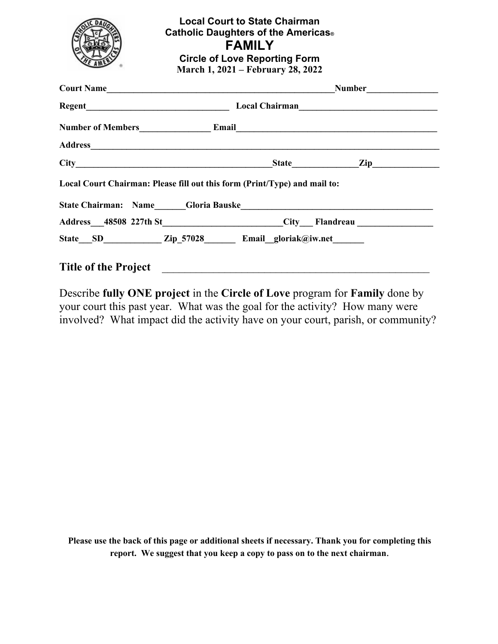|                             | <b>Local Court to State Chairman</b><br>Catholic Daughters of the Americas <sup>®</sup><br><b>FAMILY</b><br><b>Circle of Love Reporting Form</b><br>March 1, 2021 – February 28, 2022 |
|-----------------------------|---------------------------------------------------------------------------------------------------------------------------------------------------------------------------------------|
|                             |                                                                                                                                                                                       |
|                             |                                                                                                                                                                                       |
|                             |                                                                                                                                                                                       |
|                             |                                                                                                                                                                                       |
|                             | $City$ $Zip$ $Zip$ $Iip$                                                                                                                                                              |
|                             | Local Court Chairman: Please fill out this form (Print/Type) and mail to:                                                                                                             |
|                             | Address__48508 227th St_________________________City___Flandreau ________________                                                                                                     |
|                             | State SD Zip 57028 Email gloriak@iw.net                                                                                                                                               |
| <b>Title of the Project</b> |                                                                                                                                                                                       |

Describe **fully ONE project** in the **Circle of Love** program for **Family** done by your court this past year. What was the goal for the activity? How many were involved? What impact did the activity have on your court, parish, or community?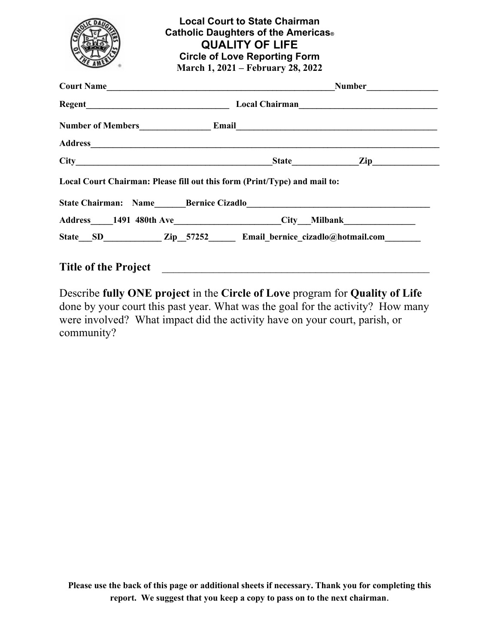| Local Court Chairman: Please fill out this form (Print/Type) and mail to:                            |
|------------------------------------------------------------------------------------------------------|
|                                                                                                      |
| Address_____1491 480th Ave______________________City___Milbank__________________                     |
| State __SD ______________Zip __57252 _________ Email _bernice_cizadlo@hotmail.com __________________ |
|                                                                                                      |

Describe **fully ONE project** in the **Circle of Love** program for **Quality of Life**  done by your court this past year. What was the goal for the activity? How many were involved? What impact did the activity have on your court, parish, or community?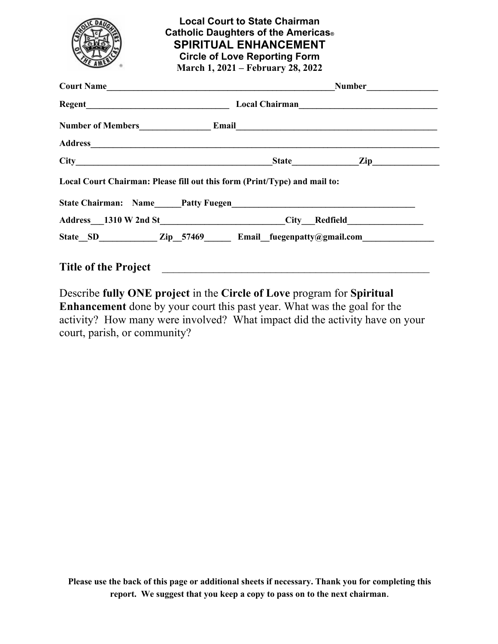

**Local Court to State Chairman Catholic Daughters of the Americas® SPIRITUAL ENHANCEMENT Circle of Love Reporting Form March 1, 2021 – February 28, 2022**

| Court Name |                                                                                   | Number |  |  |  |
|------------|-----------------------------------------------------------------------------------|--------|--|--|--|
|            |                                                                                   |        |  |  |  |
|            | Number of Members<br><u>Email</u><br>Email                                        |        |  |  |  |
|            |                                                                                   |        |  |  |  |
|            |                                                                                   |        |  |  |  |
|            | Local Court Chairman: Please fill out this form (Print/Type) and mail to:         |        |  |  |  |
|            | Address__1310 W 2nd St________________________City__Redfield_____________________ |        |  |  |  |
|            | State SD Zip 57469 Email fuegenpatty@gmail.com                                    |        |  |  |  |
|            |                                                                                   |        |  |  |  |

Describe **fully ONE project** in the **Circle of Love** program for **Spiritual Enhancement** done by your court this past year. What was the goal for the activity? How many were involved? What impact did the activity have on your court, parish, or community?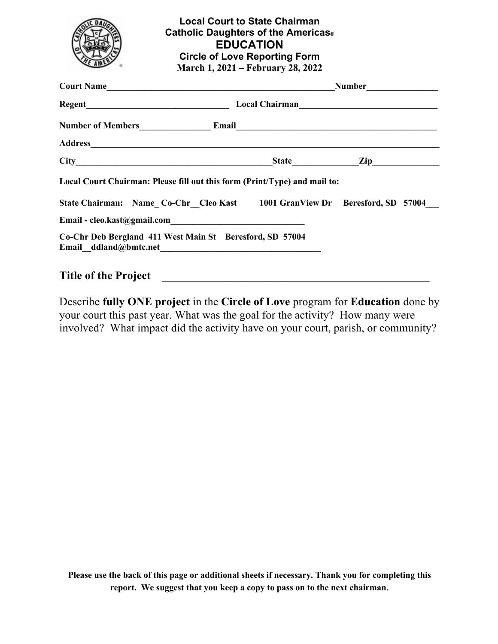

## **Local Court to State Chairman Catholic Daughters of the Americas® EDUCATION Circle of Love Reporting Form March 1, 2021 – February 28, 2022**

| Court Name                                                                                                                                              |                                          |  |  |  |  |
|---------------------------------------------------------------------------------------------------------------------------------------------------------|------------------------------------------|--|--|--|--|
|                                                                                                                                                         | Local Chairman<br><u> Local Chairman</u> |  |  |  |  |
|                                                                                                                                                         |                                          |  |  |  |  |
|                                                                                                                                                         |                                          |  |  |  |  |
|                                                                                                                                                         |                                          |  |  |  |  |
| Local Court Chairman: Please fill out this form (Print/Type) and mail to:<br>State Chairman: Name Co-Chr Cleo Kast 1001 GranView Dr Beresford, SD 57004 |                                          |  |  |  |  |
|                                                                                                                                                         |                                          |  |  |  |  |
| Co-Chr Deb Bergland 411 West Main St Beresford, SD 57004                                                                                                |                                          |  |  |  |  |
| <b>Title of the Project</b>                                                                                                                             |                                          |  |  |  |  |

## Describe **fully ONE project** in the **Circle of Love** program for **Education** done by your court this past year. What was the goal for the activity? How many were involved? What impact did the activity have on your court, parish, or community?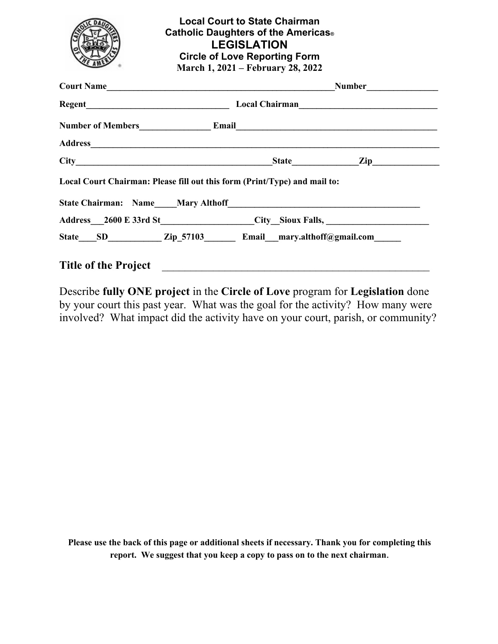|                                                                                  | <b>Local Court to State Chairman</b><br>Catholic Daughters of the Americas <sup>®</sup><br><b>Circle of Love Reporting Form</b><br>March 1, 2021 – February 28, 2022 | <b>LEGISLATION</b> |                          |
|----------------------------------------------------------------------------------|----------------------------------------------------------------------------------------------------------------------------------------------------------------------|--------------------|--------------------------|
|                                                                                  |                                                                                                                                                                      |                    |                          |
|                                                                                  |                                                                                                                                                                      |                    |                          |
|                                                                                  |                                                                                                                                                                      |                    |                          |
|                                                                                  |                                                                                                                                                                      |                    |                          |
|                                                                                  |                                                                                                                                                                      |                    | $City$ $Zip$ $Zip$ $Iip$ |
| Local Court Chairman: Please fill out this form (Print/Type) and mail to:        |                                                                                                                                                                      |                    |                          |
| Address___2600 E 33rd St__________________City_Sioux Falls, ____________________ |                                                                                                                                                                      |                    |                          |
| State____SD______________Zip_57103__________Email___mary.althoff@gmail.com______ |                                                                                                                                                                      |                    |                          |
| <b>Title of the Project</b>                                                      |                                                                                                                                                                      |                    |                          |

Describe **fully ONE project** in the **Circle of Love** program for **Legislation** done by your court this past year. What was the goal for the activity? How many were involved? What impact did the activity have on your court, parish, or community?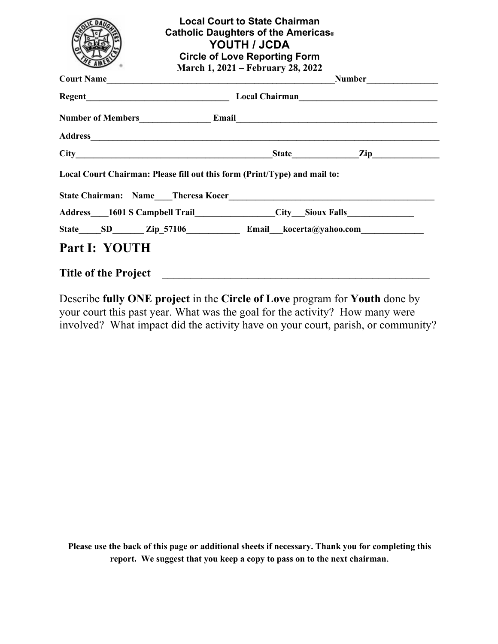|                                                                                  | Catholic Daughters of the Americas <sup>®</sup><br>March 1, 2021 – February 28, 2022 | <b>Local Court to State Chairman</b><br>YOUTH / JCDA<br><b>Circle of Love Reporting Form</b> |  |  |
|----------------------------------------------------------------------------------|--------------------------------------------------------------------------------------|----------------------------------------------------------------------------------------------|--|--|
|                                                                                  |                                                                                      |                                                                                              |  |  |
|                                                                                  |                                                                                      |                                                                                              |  |  |
| Number of Members<br><u>Email</u>                                                |                                                                                      |                                                                                              |  |  |
|                                                                                  |                                                                                      |                                                                                              |  |  |
| $City$ $Zip$ $Iip$ $Iip$                                                         |                                                                                      |                                                                                              |  |  |
| Local Court Chairman: Please fill out this form (Print/Type) and mail to:        |                                                                                      |                                                                                              |  |  |
|                                                                                  |                                                                                      |                                                                                              |  |  |
| Address___1601 S Campbell Trail_______________City__Sioux Falls_________________ |                                                                                      |                                                                                              |  |  |
|                                                                                  |                                                                                      |                                                                                              |  |  |
| Part I: YOUTH                                                                    |                                                                                      |                                                                                              |  |  |
| <b>Title of the Project</b>                                                      |                                                                                      |                                                                                              |  |  |

Describe **fully ONE project** in the **Circle of Love** program for **Youth** done by your court this past year. What was the goal for the activity? How many were involved? What impact did the activity have on your court, parish, or community?